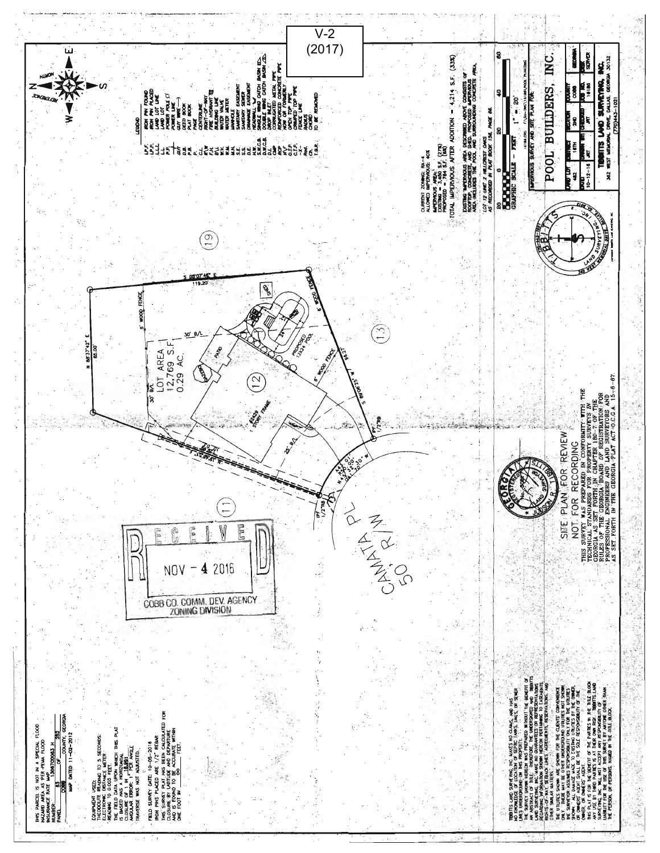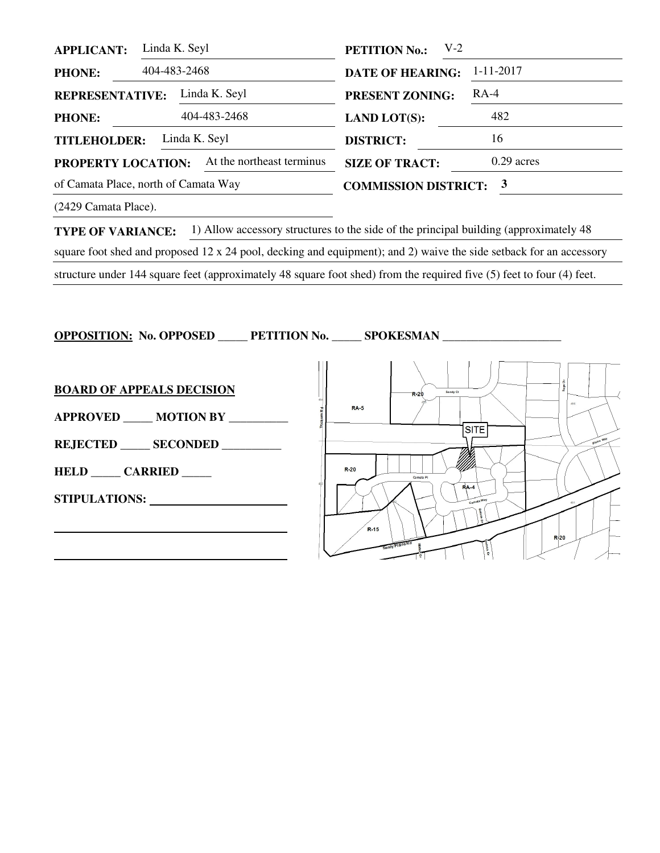| <b>APPLICANT:</b>                                      | Linda K. Seyl<br>$V-2$<br><b>PETITION No.:</b> |                               |                 |
|--------------------------------------------------------|------------------------------------------------|-------------------------------|-----------------|
| <b>PHONE:</b>                                          | 404-483-2468                                   | <b>DATE OF HEARING:</b>       | $1 - 11 - 2017$ |
| Linda K. Seyl<br><b>REPRESENTATIVE:</b>                |                                                | <b>PRESENT ZONING:</b>        | $RA-4$          |
| <b>PHONE:</b>                                          | 404-483-2468                                   | <b>LAND LOT(S):</b>           | 482             |
| Linda K. Seyl<br><b>TITLEHOLDER:</b>                   |                                                | <b>DISTRICT:</b>              | 16              |
| <b>PROPERTY LOCATION:</b>                              | At the northeast terminus                      | <b>SIZE OF TRACT:</b>         | $0.29$ acres    |
| of Camata Place, north of Camata Way                   |                                                | <b>COMMISSION DISTRICT: 3</b> |                 |
| $(2.120 \text{ C})$ $\cdots$ $\mathbb{R}^{1}$ $\cdots$ |                                                |                               |                 |

(2429 Camata Place).

**TYPE OF VARIANCE:** 1) Allow accessory structures to the side of the principal building (approximately 48) square foot shed and proposed 12 x 24 pool, decking and equipment); and 2) waive the side setback for an accessory structure under 144 square feet (approximately 48 square foot shed) from the required five (5) feet to four (4) feet.

**OPPOSITION: No. OPPOSED \_\_\_\_\_ PETITION No. \_\_\_\_\_\_\_ SPOKESMAN \_\_\_** 

**BOARD OF APPEALS DECISION APPROVED \_\_\_\_\_ MOTION BY \_\_\_\_\_\_\_\_\_\_ REJECTED \_\_\_\_\_ SECONDED \_\_\_\_\_\_\_\_\_\_ HELD \_\_\_\_\_ CARRIED \_\_\_\_\_ STIPULATIONS:** 

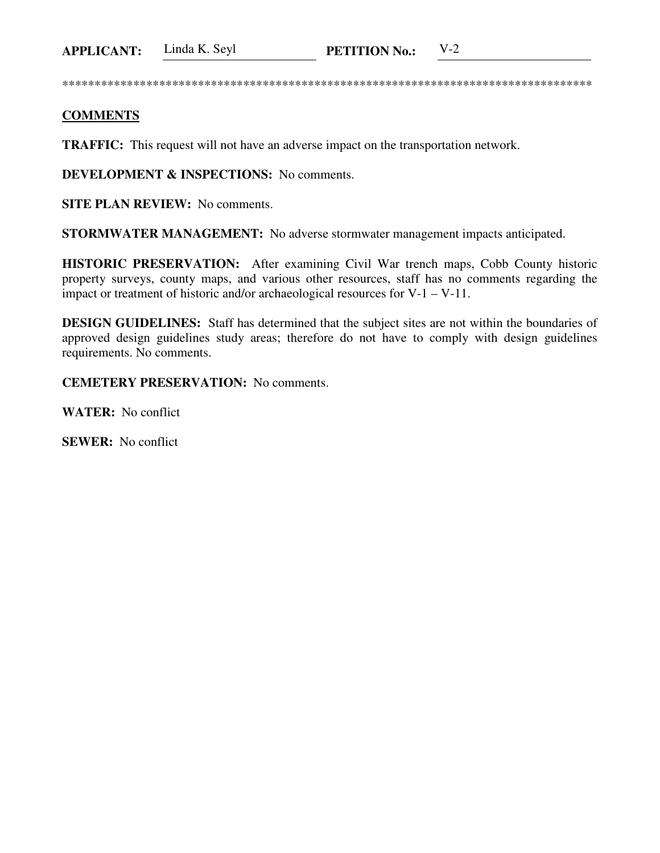**APPLICANT:** Linda K. Seyl **PETITION No.:** V-2

\*\*\*\*\*\*\*\*\*\*\*\*\*\*\*\*\*\*\*\*\*\*\*\*\*\*\*\*\*\*\*\*\*\*\*\*\*\*\*\*\*\*\*\*\*\*\*\*\*\*\*\*\*\*\*\*\*\*\*\*\*\*\*\*\*\*\*\*\*\*\*\*\*\*\*\*\*\*\*\*\*\*

## **COMMENTS**

**TRAFFIC:** This request will not have an adverse impact on the transportation network.

**DEVELOPMENT & INSPECTIONS:** No comments.

**SITE PLAN REVIEW:** No comments.

**STORMWATER MANAGEMENT:** No adverse stormwater management impacts anticipated.

**HISTORIC PRESERVATION:** After examining Civil War trench maps, Cobb County historic property surveys, county maps, and various other resources, staff has no comments regarding the impact or treatment of historic and/or archaeological resources for V-1 – V-11.

**DESIGN GUIDELINES:** Staff has determined that the subject sites are not within the boundaries of approved design guidelines study areas; therefore do not have to comply with design guidelines requirements. No comments.

**CEMETERY PRESERVATION:** No comments.

**WATER:** No conflict

**SEWER:** No conflict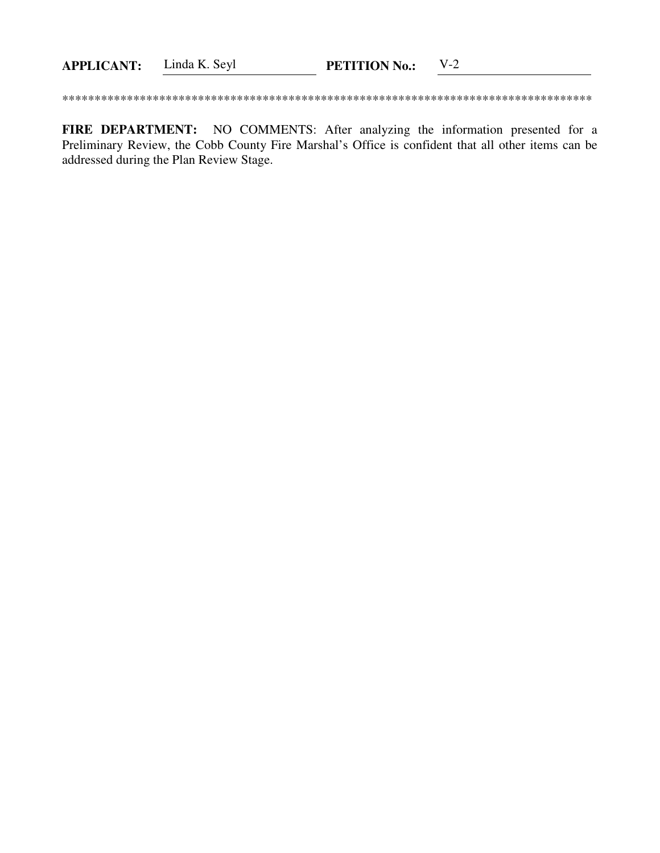| <b>APPLICANT:</b> | Linda K. Seyl | <b>PETITION No.:</b> |  |
|-------------------|---------------|----------------------|--|
|                   |               |                      |  |

FIRE DEPARTMENT: NO COMMENTS: After analyzing the information presented for a Preliminary Review, the Cobb County Fire Marshal's Office is confident that all other items can be addressed during the Plan Review Stage.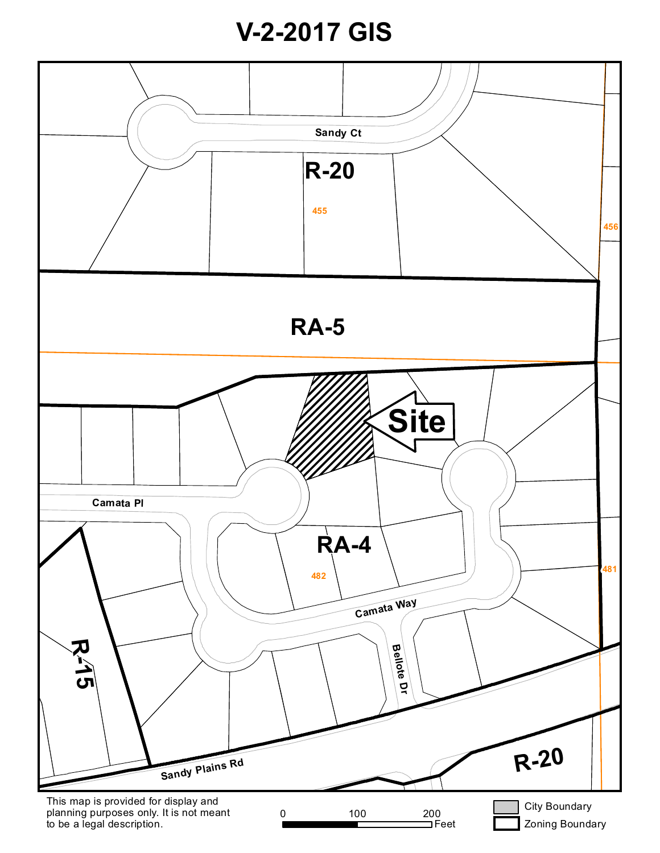## **V-2-2017 GIS**